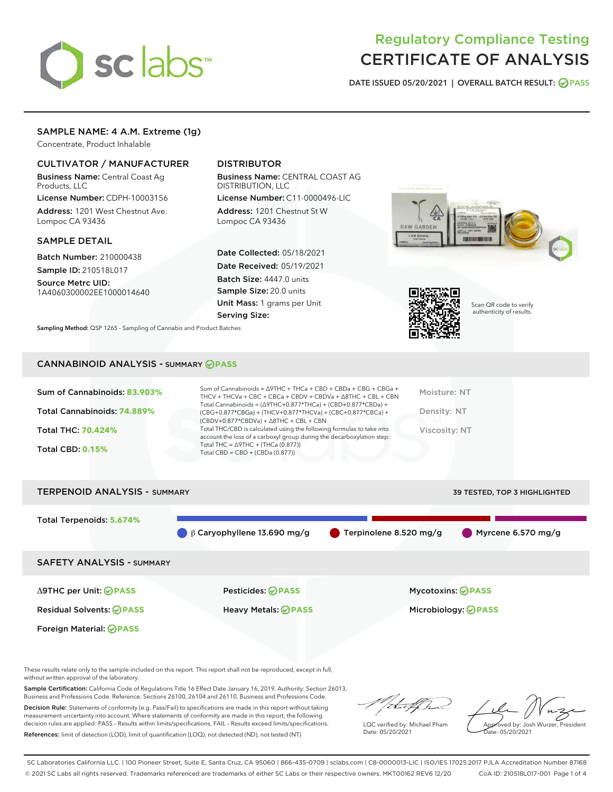

# Regulatory Compliance Testing CERTIFICATE OF ANALYSIS

DATE ISSUED 05/20/2021 | OVERALL BATCH RESULT: @ PASS

## SAMPLE NAME: 4 A.M. Extreme (1g)

Concentrate, Product Inhalable

## CULTIVATOR / MANUFACTURER

Business Name: Central Coast Ag Products, LLC

License Number: CDPH-10003156 Address: 1201 West Chestnut Ave. Lompoc CA 93436

#### SAMPLE DETAIL

Batch Number: 210000438 Sample ID: 210518L017

Source Metrc UID:

1A4060300002EE1000014640

# DISTRIBUTOR

Business Name: CENTRAL COAST AG DISTRIBUTION, LLC

License Number: C11-0000496-LIC Address: 1201 Chestnut St W Lompoc CA 93436

Date Collected: 05/18/2021 Date Received: 05/19/2021 Batch Size: 4447.0 units Sample Size: 20.0 units Unit Mass: 1 grams per Unit Serving Size:





Scan QR code to verify authenticity of results.

Sampling Method: QSP 1265 - Sampling of Cannabis and Product Batches

## CANNABINOID ANALYSIS - SUMMARY **PASS**

| Sum of Cannabinoids: 83.903% | Sum of Cannabinoids = Δ9THC + THCa + CBD + CBDa + CBG + CBGa +<br>THCV + THCVa + CBC + CBCa + CBDV + CBDVa + $\Delta$ 8THC + CBL + CBN                                               | Moisture: NT  |
|------------------------------|--------------------------------------------------------------------------------------------------------------------------------------------------------------------------------------|---------------|
| Total Cannabinoids: 74.889%  | Total Cannabinoids = $(\Delta$ 9THC+0.877*THCa) + (CBD+0.877*CBDa) +<br>(CBG+0.877*CBGa) + (THCV+0.877*THCVa) + (CBC+0.877*CBCa) +<br>$(CBDV+0.877*CBDVa) + \Delta 8THC + CBL + CBN$ | Density: NT   |
| <b>Total THC: 70.424%</b>    | Total THC/CBD is calculated using the following formulas to take into<br>account the loss of a carboxyl group during the decarboxylation step:                                       | Viscosity: NT |
| <b>Total CBD: 0.15%</b>      | Total THC = $\triangle$ 9THC + (THCa (0.877))<br>Total CBD = $CBD + (CBDa (0.877))$                                                                                                  |               |
|                              |                                                                                                                                                                                      |               |

| <b>TERPENOID ANALYSIS - SUMMARY</b> |                                     |                                       | <b>39 TESTED, TOP 3 HIGHLIGHTED</b> |
|-------------------------------------|-------------------------------------|---------------------------------------|-------------------------------------|
| Total Terpenoids: 5.674%            | $\beta$ 6 Caryophyllene 13.690 mg/g | $\blacksquare$ Terpinolene 8.520 mg/g | $\blacksquare$ Myrcene 6.570 mg/g   |
| <b>SAFETY ANALYSIS - SUMMARY</b>    |                                     |                                       |                                     |
| ∆9THC per Unit: ⊘PASS               | <b>Pesticides: ⊘PASS</b>            | Mycotoxins: ⊘PASS                     |                                     |
| <b>Residual Solvents: ⊘PASS</b>     | Heavy Metals: <b>OPASS</b>          |                                       | Microbiology: <b>OPASS</b>          |
| Foreign Material: <b>⊘ PASS</b>     |                                     |                                       |                                     |

These results relate only to the sample included on this report. This report shall not be reproduced, except in full, without written approval of the laboratory.

Sample Certification: California Code of Regulations Title 16 Effect Date January 16, 2019. Authority: Section 26013, Business and Professions Code. Reference: Sections 26100, 26104 and 26110, Business and Professions Code.

Decision Rule: Statements of conformity (e.g. Pass/Fail) to specifications are made in this report without taking measurement uncertainty into account. Where statements of conformity are made in this report, the following decision rules are applied: PASS – Results within limits/specifications, FAIL – Results exceed limits/specifications. References: limit of detection (LOD), limit of quantification (LOQ), not detected (ND), not tested (NT)

that f h

LQC verified by: Michael Pham Date: 05/20/2021

Approved by: Josh Wurzer, President ate: 05/20/2021

SC Laboratories California LLC. | 100 Pioneer Street, Suite E, Santa Cruz, CA 95060 | 866-435-0709 | sclabs.com | C8-0000013-LIC | ISO/IES 17025:2017 PJLA Accreditation Number 87168 © 2021 SC Labs all rights reserved. Trademarks referenced are trademarks of either SC Labs or their respective owners. MKT00162 REV6 12/20 CoA ID: 210518L017-001 Page 1 of 4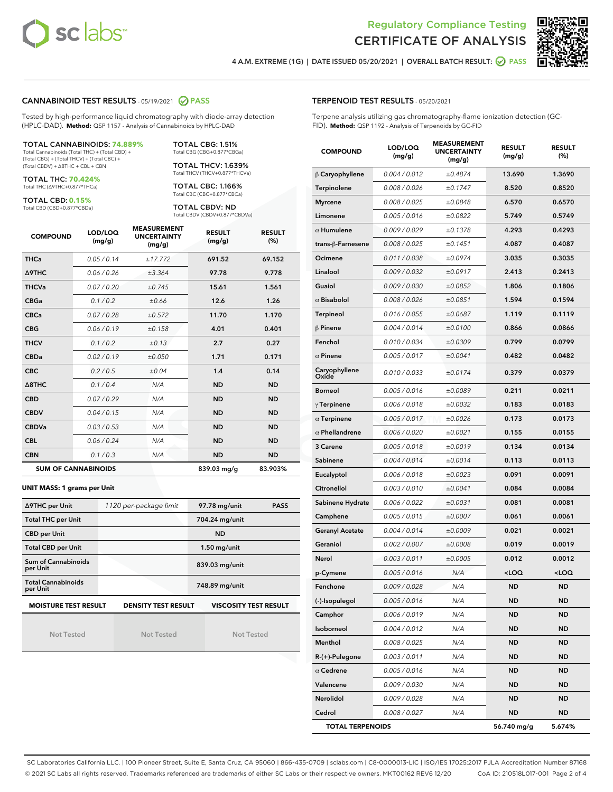



4 A.M. EXTREME (1G) | DATE ISSUED 05/20/2021 | OVERALL BATCH RESULT:  $\bigcirc$  PASS

#### CANNABINOID TEST RESULTS - 05/19/2021 2 PASS

Tested by high-performance liquid chromatography with diode-array detection (HPLC-DAD). **Method:** QSP 1157 - Analysis of Cannabinoids by HPLC-DAD

#### TOTAL CANNABINOIDS: **74.889%**

Total Cannabinoids (Total THC) + (Total CBD) + (Total CBG) + (Total THCV) + (Total CBC) + (Total CBDV) + ∆8THC + CBL + CBN

TOTAL THC: **70.424%** Total THC (∆9THC+0.877\*THCa)

TOTAL CBD: **0.15%**

Total CBD (CBD+0.877\*CBDa)

TOTAL CBG: 1.51% Total CBG (CBG+0.877\*CBGa)

TOTAL THCV: 1.639% Total THCV (THCV+0.877\*THCVa)

TOTAL CBC: 1.166% Total CBC (CBC+0.877\*CBCa)

TOTAL CBDV: ND Total CBDV (CBDV+0.877\*CBDVa)

| <b>COMPOUND</b>            | LOD/LOQ<br>(mg/g) | <b>MEASUREMENT</b><br><b>UNCERTAINTY</b><br>(mg/g) | <b>RESULT</b><br>(mg/g) | <b>RESULT</b><br>(%) |
|----------------------------|-------------------|----------------------------------------------------|-------------------------|----------------------|
| <b>THCa</b>                | 0.05/0.14         | ±17.772                                            | 691.52                  | 69.152               |
| <b>A9THC</b>               | 0.06 / 0.26       | ±3.364                                             | 97.78                   | 9.778                |
| <b>THCVa</b>               | 0.07/0.20         | ±0.745                                             | 15.61                   | 1.561                |
| <b>CBGa</b>                | 0.1/0.2           | ±0.66                                              | 12.6                    | 1.26                 |
| <b>CBCa</b>                | 0.07/0.28         | ±0.572                                             | 11.70                   | 1.170                |
| <b>CBG</b>                 | 0.06/0.19         | ±0.158                                             | 4.01                    | 0.401                |
| <b>THCV</b>                | 0.1/0.2           | ±0.13                                              | 2.7                     | 0.27                 |
| <b>CBDa</b>                | 0.02/0.19         | ±0.050                                             | 1.71                    | 0.171                |
| <b>CBC</b>                 | 0.2 / 0.5         | ±0.04                                              | 1.4                     | 0.14                 |
| $\triangle$ 8THC           | 0.1 / 0.4         | N/A                                                | <b>ND</b>               | <b>ND</b>            |
| <b>CBD</b>                 | 0.07/0.29         | N/A                                                | <b>ND</b>               | <b>ND</b>            |
| <b>CBDV</b>                | 0.04/0.15         | N/A                                                | <b>ND</b>               | <b>ND</b>            |
| <b>CBDVa</b>               | 0.03/0.53         | N/A                                                | <b>ND</b>               | <b>ND</b>            |
| <b>CBL</b>                 | 0.06 / 0.24       | N/A                                                | <b>ND</b>               | <b>ND</b>            |
| <b>CBN</b>                 | 0.1/0.3           | N/A                                                | <b>ND</b>               | <b>ND</b>            |
| <b>SUM OF CANNABINOIDS</b> |                   |                                                    | 839.03 mg/g             | 83.903%              |

#### **UNIT MASS: 1 grams per Unit**

| ∆9THC per Unit                        | 1120 per-package limit     | 97.78 mg/unit<br><b>PASS</b> |
|---------------------------------------|----------------------------|------------------------------|
| <b>Total THC per Unit</b>             |                            | 704.24 mg/unit               |
| <b>CBD per Unit</b>                   |                            | <b>ND</b>                    |
| <b>Total CBD per Unit</b>             |                            | $1.50$ mg/unit               |
| Sum of Cannabinoids<br>per Unit       |                            | 839.03 mg/unit               |
| <b>Total Cannabinoids</b><br>per Unit |                            | 748.89 mg/unit               |
| <b>MOISTURE TEST RESULT</b>           | <b>DENSITY TEST RESULT</b> | <b>VISCOSITY TEST RESULT</b> |

Not Tested

Not Tested

Not Tested

#### TERPENOID TEST RESULTS - 05/20/2021

Terpene analysis utilizing gas chromatography-flame ionization detection (GC-FID). **Method:** QSP 1192 - Analysis of Terpenoids by GC-FID

| <b>COMPOUND</b>         | LOD/LOQ<br>(mg/g) | <b>MEASUREMENT</b><br><b>UNCERTAINTY</b><br>(mg/g) | <b>RESULT</b><br>(mg/g)                         | <b>RESULT</b><br>(%) |
|-------------------------|-------------------|----------------------------------------------------|-------------------------------------------------|----------------------|
| $\beta$ Caryophyllene   | 0.004 / 0.012     | ±0.4874                                            | 13.690                                          | 1.3690               |
| Terpinolene             | 0.008 / 0.026     | ±0.1747                                            | 8.520                                           | 0.8520               |
| <b>Myrcene</b>          | 0.008 / 0.025     | ±0.0848                                            | 6.570                                           | 0.6570               |
| Limonene                | 0.005 / 0.016     | ±0.0822                                            | 5.749                                           | 0.5749               |
| $\alpha$ Humulene       | 0.009 / 0.029     | ±0.1378                                            | 4.293                                           | 0.4293               |
| trans-ß-Farnesene       | 0.008 / 0.025     | ±0.1451                                            | 4.087                                           | 0.4087               |
| Ocimene                 | 0.011 / 0.038     | ±0.0974                                            | 3.035                                           | 0.3035               |
| Linalool                | 0.009 / 0.032     | ±0.0917                                            | 2.413                                           | 0.2413               |
| Guaiol                  | 0.009 / 0.030     | ±0.0852                                            | 1.806                                           | 0.1806               |
| $\alpha$ Bisabolol      | 0.008 / 0.026     | ±0.0851                                            | 1.594                                           | 0.1594               |
| Terpineol               | 0.016 / 0.055     | ±0.0687                                            | 1.119                                           | 0.1119               |
| $\beta$ Pinene          | 0.004 / 0.014     | ±0.0100                                            | 0.866                                           | 0.0866               |
| Fenchol                 | 0.010 / 0.034     | ±0.0309                                            | 0.799                                           | 0.0799               |
| $\alpha$ Pinene         | 0.005 / 0.017     | ±0.0041                                            | 0.482                                           | 0.0482               |
| Caryophyllene<br>Oxide  | 0.010 / 0.033     | ±0.0174                                            | 0.379                                           | 0.0379               |
| <b>Borneol</b>          | 0.005 / 0.016     | ±0.0089                                            | 0.211                                           | 0.0211               |
| $\gamma$ Terpinene      | 0.006 / 0.018     | ±0.0032                                            | 0.183                                           | 0.0183               |
| $\alpha$ Terpinene      | 0.005 / 0.017     | ±0.0026                                            | 0.173                                           | 0.0173               |
| $\alpha$ Phellandrene   | 0.006 / 0.020     | ±0.0021                                            | 0.155                                           | 0.0155               |
| 3 Carene                | 0.005 / 0.018     | ±0.0019                                            | 0.134                                           | 0.0134               |
| Sabinene                | 0.004 / 0.014     | ±0.0014                                            | 0.113                                           | 0.0113               |
| Eucalyptol              | 0.006 / 0.018     | ±0.0023                                            | 0.091                                           | 0.0091               |
| Citronellol             | 0.003 / 0.010     | ±0.0041                                            | 0.084                                           | 0.0084               |
| Sabinene Hydrate        | 0.006 / 0.022     | ±0.0031                                            | 0.081                                           | 0.0081               |
| Camphene                | 0.005 / 0.015     | ±0.0007                                            | 0.061                                           | 0.0061               |
| <b>Geranyl Acetate</b>  | 0.004 / 0.014     | ±0.0009                                            | 0.021                                           | 0.0021               |
| Geraniol                | 0.002 / 0.007     | ±0.0008                                            | 0.019                                           | 0.0019               |
| Nerol                   | 0.003 / 0.011     | ±0.0005                                            | 0.012                                           | 0.0012               |
| p-Cymene                | 0.005 / 0.016     | N/A                                                | <loq< th=""><th><loq< th=""></loq<></th></loq<> | <loq< th=""></loq<>  |
| Fenchone                | 0.009 / 0.028     | N/A                                                | ND                                              | ND                   |
| (-)-Isopulegol          | 0.005 / 0.016     | N/A                                                | ND                                              | ND                   |
| Camphor                 | 0.006 / 0.019     | N/A                                                | ND                                              | <b>ND</b>            |
| Isoborneol              | 0.004 / 0.012     | N/A                                                | ND                                              | <b>ND</b>            |
| Menthol                 | 0.008 / 0.025     | N/A                                                | ND                                              | <b>ND</b>            |
| R-(+)-Pulegone          | 0.003 / 0.011     | N/A                                                | ND                                              | ND                   |
| $\alpha$ Cedrene        | 0.005 / 0.016     | N/A                                                | ND                                              | <b>ND</b>            |
| Valencene               | 0.009 / 0.030     | N/A                                                | ND                                              | ND                   |
| Nerolidol               | 0.009 / 0.028     | N/A                                                | ND                                              | ND                   |
| Cedrol                  | 0.008 / 0.027     | N/A                                                | <b>ND</b>                                       | ND                   |
| <b>TOTAL TERPENOIDS</b> |                   |                                                    | 56.740 mg/g                                     | 5.674%               |

SC Laboratories California LLC. | 100 Pioneer Street, Suite E, Santa Cruz, CA 95060 | 866-435-0709 | sclabs.com | C8-0000013-LIC | ISO/IES 17025:2017 PJLA Accreditation Number 87168 © 2021 SC Labs all rights reserved. Trademarks referenced are trademarks of either SC Labs or their respective owners. MKT00162 REV6 12/20 CoA ID: 210518L017-001 Page 2 of 4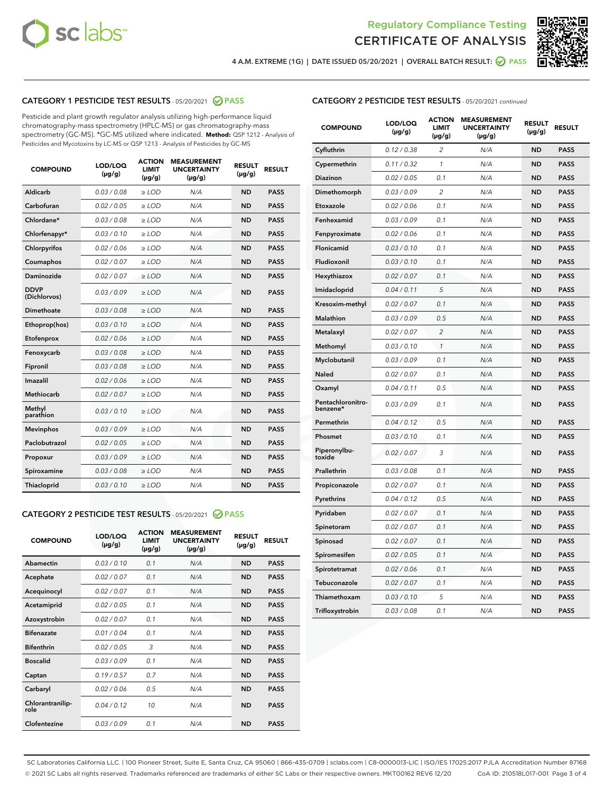



4 A.M. EXTREME (1G) | DATE ISSUED 05/20/2021 | OVERALL BATCH RESULT:  $\bigcirc$  PASS

## CATEGORY 1 PESTICIDE TEST RESULTS - 05/20/2021 2 PASS

Pesticide and plant growth regulator analysis utilizing high-performance liquid chromatography-mass spectrometry (HPLC-MS) or gas chromatography-mass spectrometry (GC-MS). \*GC-MS utilized where indicated. **Method:** QSP 1212 - Analysis of Pesticides and Mycotoxins by LC-MS or QSP 1213 - Analysis of Pesticides by GC-MS

| <b>COMPOUND</b>             | LOD/LOQ<br>$(\mu g/g)$ | <b>ACTION</b><br><b>LIMIT</b><br>$(\mu g/g)$ | <b>MEASUREMENT</b><br><b>UNCERTAINTY</b><br>$(\mu g/g)$ | <b>RESULT</b><br>$(\mu g/g)$ | <b>RESULT</b> |
|-----------------------------|------------------------|----------------------------------------------|---------------------------------------------------------|------------------------------|---------------|
| Aldicarb                    | 0.03 / 0.08            | $\geq$ LOD                                   | N/A                                                     | <b>ND</b>                    | <b>PASS</b>   |
| Carbofuran                  | 0.02 / 0.05            | $>$ LOD                                      | N/A                                                     | <b>ND</b>                    | <b>PASS</b>   |
| Chlordane*                  | 0.03 / 0.08            | $\ge$ LOD                                    | N/A                                                     | <b>ND</b>                    | <b>PASS</b>   |
| Chlorfenapyr*               | 0.03/0.10              | $>$ LOD                                      | N/A                                                     | <b>ND</b>                    | <b>PASS</b>   |
| Chlorpyrifos                | 0.02 / 0.06            | ≥ LOD                                        | N/A                                                     | <b>ND</b>                    | <b>PASS</b>   |
| Coumaphos                   | 0.02 / 0.07            | $\ge$ LOD                                    | N/A                                                     | <b>ND</b>                    | <b>PASS</b>   |
| Daminozide                  | 0.02 / 0.07            | $\geq$ LOD                                   | N/A                                                     | <b>ND</b>                    | <b>PASS</b>   |
| <b>DDVP</b><br>(Dichlorvos) | 0.03/0.09              | $\geq$ LOD                                   | N/A                                                     | <b>ND</b>                    | <b>PASS</b>   |
| Dimethoate                  | 0.03 / 0.08            | $>$ LOD                                      | N/A                                                     | <b>ND</b>                    | <b>PASS</b>   |
| Ethoprop(hos)               | 0.03/0.10              | $\ge$ LOD                                    | N/A                                                     | <b>ND</b>                    | <b>PASS</b>   |
| Etofenprox                  | 0.02 / 0.06            | $>$ LOD                                      | N/A                                                     | <b>ND</b>                    | <b>PASS</b>   |
| Fenoxycarb                  | 0.03 / 0.08            | $\geq$ LOD                                   | N/A                                                     | <b>ND</b>                    | <b>PASS</b>   |
| Fipronil                    | 0.03/0.08              | $>$ LOD                                      | N/A                                                     | <b>ND</b>                    | <b>PASS</b>   |
| Imazalil                    | 0.02 / 0.06            | $\geq$ LOD                                   | N/A                                                     | <b>ND</b>                    | <b>PASS</b>   |
| <b>Methiocarb</b>           | 0.02 / 0.07            | $\ge$ LOD                                    | N/A                                                     | <b>ND</b>                    | <b>PASS</b>   |
| Methyl<br>parathion         | 0.03/0.10              | $\geq$ LOD                                   | N/A                                                     | <b>ND</b>                    | <b>PASS</b>   |
| <b>Mevinphos</b>            | 0.03/0.09              | $>$ LOD                                      | N/A                                                     | <b>ND</b>                    | <b>PASS</b>   |
| Paclobutrazol               | 0.02 / 0.05            | $\geq$ LOD                                   | N/A                                                     | <b>ND</b>                    | <b>PASS</b>   |
| Propoxur                    | 0.03/0.09              | $\ge$ LOD                                    | N/A                                                     | <b>ND</b>                    | <b>PASS</b>   |
| Spiroxamine                 | 0.03 / 0.08            | $\ge$ LOD                                    | N/A                                                     | <b>ND</b>                    | <b>PASS</b>   |
| Thiacloprid                 | 0.03/0.10              | $\geq$ LOD                                   | N/A                                                     | <b>ND</b>                    | <b>PASS</b>   |

#### CATEGORY 2 PESTICIDE TEST RESULTS - 05/20/2021 @ PASS

| <b>COMPOUND</b>          | LOD/LOO<br>$(\mu g/g)$ | <b>ACTION</b><br>LIMIT<br>$(\mu g/g)$ | <b>MEASUREMENT</b><br><b>UNCERTAINTY</b><br>$(\mu g/g)$ | <b>RESULT</b><br>$(\mu g/g)$ | <b>RESULT</b> |
|--------------------------|------------------------|---------------------------------------|---------------------------------------------------------|------------------------------|---------------|
| Abamectin                | 0.03/0.10              | 0.1                                   | N/A                                                     | <b>ND</b>                    | <b>PASS</b>   |
| Acephate                 | 0.02/0.07              | 0.1                                   | N/A                                                     | <b>ND</b>                    | <b>PASS</b>   |
| Acequinocyl              | 0.02/0.07              | 0.1                                   | N/A                                                     | <b>ND</b>                    | <b>PASS</b>   |
| Acetamiprid              | 0.02/0.05              | 0.1                                   | N/A                                                     | <b>ND</b>                    | <b>PASS</b>   |
| Azoxystrobin             | 0.02/0.07              | 0.1                                   | N/A                                                     | <b>ND</b>                    | <b>PASS</b>   |
| <b>Bifenazate</b>        | 0.01/0.04              | 0.1                                   | N/A                                                     | <b>ND</b>                    | <b>PASS</b>   |
| <b>Bifenthrin</b>        | 0.02 / 0.05            | 3                                     | N/A                                                     | <b>ND</b>                    | <b>PASS</b>   |
| <b>Boscalid</b>          | 0.03/0.09              | 0.1                                   | N/A                                                     | <b>ND</b>                    | <b>PASS</b>   |
| Captan                   | 0.19/0.57              | 0.7                                   | N/A                                                     | <b>ND</b>                    | <b>PASS</b>   |
| Carbaryl                 | 0.02/0.06              | 0.5                                   | N/A                                                     | <b>ND</b>                    | <b>PASS</b>   |
| Chlorantranilip-<br>role | 0.04/0.12              | 10                                    | N/A                                                     | <b>ND</b>                    | <b>PASS</b>   |
| Clofentezine             | 0.03/0.09              | 0.1                                   | N/A                                                     | <b>ND</b>                    | <b>PASS</b>   |

| <b>COMPOUND</b>               | LOD/LOQ<br>(µg/g) | <b>ACTION</b><br><b>LIMIT</b><br>(µg/g) | <b>MEASUREMENT</b><br><b>UNCERTAINTY</b><br>$(\mu g/g)$ | <b>RESULT</b><br>(µg/g) | <b>RESULT</b> |
|-------------------------------|-------------------|-----------------------------------------|---------------------------------------------------------|-------------------------|---------------|
| Cyfluthrin                    | 0.12 / 0.38       | $\overline{c}$                          | N/A                                                     | <b>ND</b>               | <b>PASS</b>   |
| Cypermethrin                  | 0.11 / 0.32       | 1                                       | N/A                                                     | <b>ND</b>               | <b>PASS</b>   |
| <b>Diazinon</b>               | 0.02 / 0.05       | 0.1                                     | N/A                                                     | <b>ND</b>               | <b>PASS</b>   |
| Dimethomorph                  | 0.03 / 0.09       | 2                                       | N/A                                                     | <b>ND</b>               | <b>PASS</b>   |
| Etoxazole                     | 0.02 / 0.06       | 0.1                                     | N/A                                                     | <b>ND</b>               | <b>PASS</b>   |
| Fenhexamid                    | 0.03 / 0.09       | 0.1                                     | N/A                                                     | <b>ND</b>               | <b>PASS</b>   |
| Fenpyroximate                 | 0.02 / 0.06       | 0.1                                     | N/A                                                     | <b>ND</b>               | <b>PASS</b>   |
| Flonicamid                    | 0.03 / 0.10       | 0.1                                     | N/A                                                     | <b>ND</b>               | <b>PASS</b>   |
| Fludioxonil                   | 0.03 / 0.10       | 0.1                                     | N/A                                                     | <b>ND</b>               | <b>PASS</b>   |
| Hexythiazox                   | 0.02 / 0.07       | 0.1                                     | N/A                                                     | <b>ND</b>               | <b>PASS</b>   |
| Imidacloprid                  | 0.04 / 0.11       | 5                                       | N/A                                                     | <b>ND</b>               | <b>PASS</b>   |
| Kresoxim-methyl               | 0.02 / 0.07       | 0.1                                     | N/A                                                     | <b>ND</b>               | <b>PASS</b>   |
| Malathion                     | 0.03 / 0.09       | 0.5                                     | N/A                                                     | <b>ND</b>               | <b>PASS</b>   |
| Metalaxyl                     | 0.02 / 0.07       | $\overline{c}$                          | N/A                                                     | <b>ND</b>               | <b>PASS</b>   |
| Methomyl                      | 0.03 / 0.10       | $\mathcal{I}$                           | N/A                                                     | <b>ND</b>               | <b>PASS</b>   |
| Myclobutanil                  | 0.03 / 0.09       | 0.1                                     | N/A                                                     | <b>ND</b>               | <b>PASS</b>   |
| <b>Naled</b>                  | 0.02 / 0.07       | 0.1                                     | N/A                                                     | <b>ND</b>               | <b>PASS</b>   |
| Oxamyl                        | 0.04 / 0.11       | 0.5                                     | N/A                                                     | <b>ND</b>               | <b>PASS</b>   |
| Pentachloronitro-<br>benzene* | 0.03/0.09         | 0.1                                     | N/A                                                     | <b>ND</b>               | <b>PASS</b>   |
| Permethrin                    | 0.04 / 0.12       | 0.5                                     | N/A                                                     | <b>ND</b>               | <b>PASS</b>   |
| Phosmet                       | 0.03 / 0.10       | 0.1                                     | N/A                                                     | <b>ND</b>               | <b>PASS</b>   |
| Piperonylbu-<br>toxide        | 0.02 / 0.07       | 3                                       | N/A                                                     | <b>ND</b>               | <b>PASS</b>   |
| Prallethrin                   | 0.03 / 0.08       | 0.1                                     | N/A                                                     | <b>ND</b>               | <b>PASS</b>   |
| Propiconazole                 | 0.02 / 0.07       | 0.1                                     | N/A                                                     | <b>ND</b>               | <b>PASS</b>   |
| Pyrethrins                    | 0.04 / 0.12       | 0.5                                     | N/A                                                     | <b>ND</b>               | <b>PASS</b>   |
| Pyridaben                     | 0.02 / 0.07       | 0.1                                     | N/A                                                     | <b>ND</b>               | <b>PASS</b>   |
| Spinetoram                    | 0.02 / 0.07       | 0.1                                     | N/A                                                     | <b>ND</b>               | <b>PASS</b>   |
| Spinosad                      | 0.02 / 0.07       | 0.1                                     | N/A                                                     | <b>ND</b>               | <b>PASS</b>   |
| Spiromesifen                  | 0.02 / 0.05       | 0.1                                     | N/A                                                     | <b>ND</b>               | <b>PASS</b>   |
| Spirotetramat                 | 0.02 / 0.06       | 0.1                                     | N/A                                                     | ND                      | <b>PASS</b>   |
| Tebuconazole                  | 0.02 / 0.07       | 0.1                                     | N/A                                                     | <b>ND</b>               | <b>PASS</b>   |
| Thiamethoxam                  | 0.03 / 0.10       | 5                                       | N/A                                                     | <b>ND</b>               | <b>PASS</b>   |
| Trifloxystrobin               | 0.03 / 0.08       | 0.1                                     | N/A                                                     | <b>ND</b>               | <b>PASS</b>   |

SC Laboratories California LLC. | 100 Pioneer Street, Suite E, Santa Cruz, CA 95060 | 866-435-0709 | sclabs.com | C8-0000013-LIC | ISO/IES 17025:2017 PJLA Accreditation Number 87168 © 2021 SC Labs all rights reserved. Trademarks referenced are trademarks of either SC Labs or their respective owners. MKT00162 REV6 12/20 CoA ID: 210518L017-001 Page 3 of 4